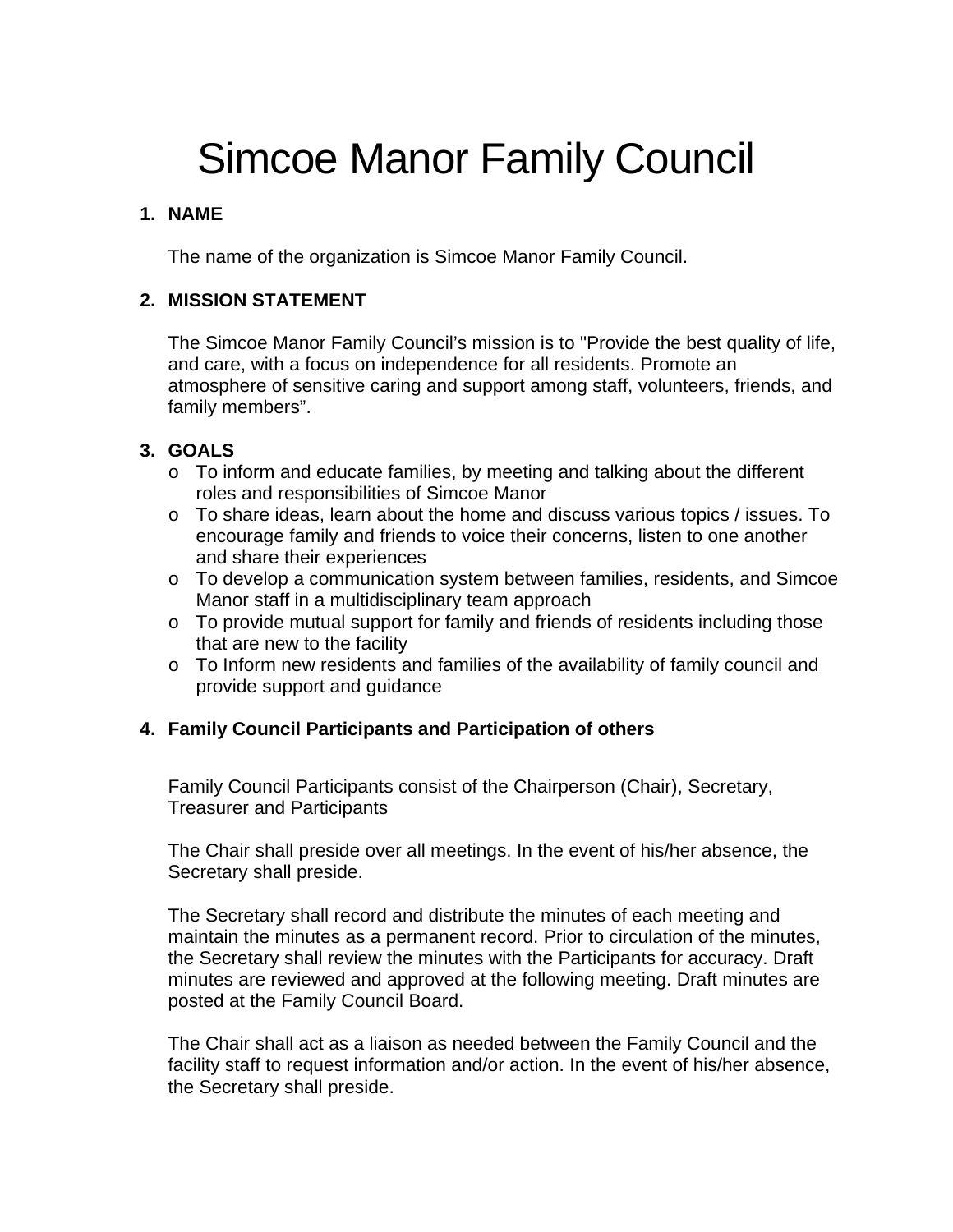# Simcoe Manor Family Council

# **1. NAME**

The name of the organization is Simcoe Manor Family Council.

# **2. MISSION STATEMENT**

The Simcoe Manor Family Council's mission is to "Provide the best quality of life, and care, with a focus on independence for all residents. Promote an atmosphere of sensitive caring and support among staff, volunteers, friends, and family members".

## **3. GOALS**

- o To inform and educate families, by meeting and talking about the different roles and responsibilities of Simcoe Manor
- o To share ideas, learn about the home and discuss various topics / issues. To encourage family and friends to voice their concerns, listen to one another and share their experiences
- o To develop a communication system between families, residents, and Simcoe Manor staff in a multidisciplinary team approach
- o To provide mutual support for family and friends of residents including those that are new to the facility
- $\circ$  To Inform new residents and families of the availability of family council and provide support and guidance

# **4. Family Council Participants and Participation of others**

Family Council Participants consist of the Chairperson (Chair), Secretary, Treasurer and Participants

The Chair shall preside over all meetings. In the event of his/her absence, the Secretary shall preside.

The Secretary shall record and distribute the minutes of each meeting and maintain the minutes as a permanent record. Prior to circulation of the minutes, the Secretary shall review the minutes with the Participants for accuracy. Draft minutes are reviewed and approved at the following meeting. Draft minutes are posted at the Family Council Board.

The Chair shall act as a liaison as needed between the Family Council and the facility staff to request information and/or action. In the event of his/her absence, the Secretary shall preside.